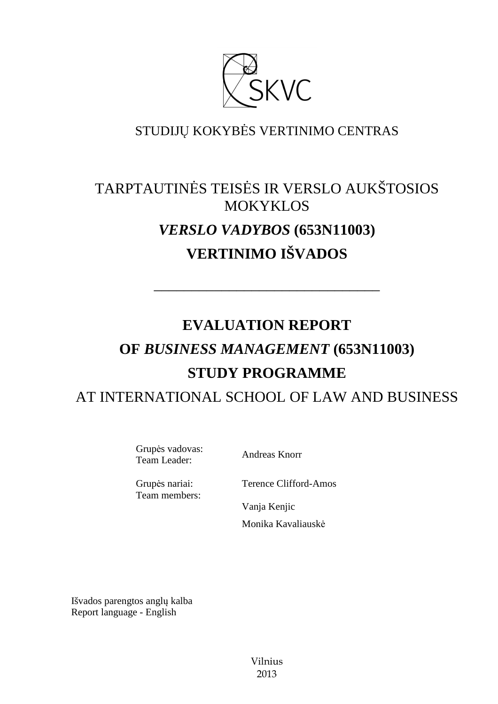

### STUDIJŲ KOKYBĖS VERTINIMO CENTRAS

# TARPTAUTINĖS TEISĖS IR VERSLO AUKŠTOSIOS MOKYKLOS *VERSLO VADYBOS* **(653N11003) VERTINIMO IŠVADOS**

––––––––––––––––––––––––––––––

# **EVALUATION REPORT OF** *BUSINESS MANAGEMENT* **(653N11003) STUDY PROGRAMME**  AT INTERNATIONAL SCHOOL OF LAW AND BUSINESS

Grupės vadovas: Team Leader: Andreas Knorr

Grupės nariai: Team members: Terence Clifford-Amos

Vanja Kenjic Monika Kavaliauskė

Išvados parengtos anglų kalba Report language - English

> Vilnius 2013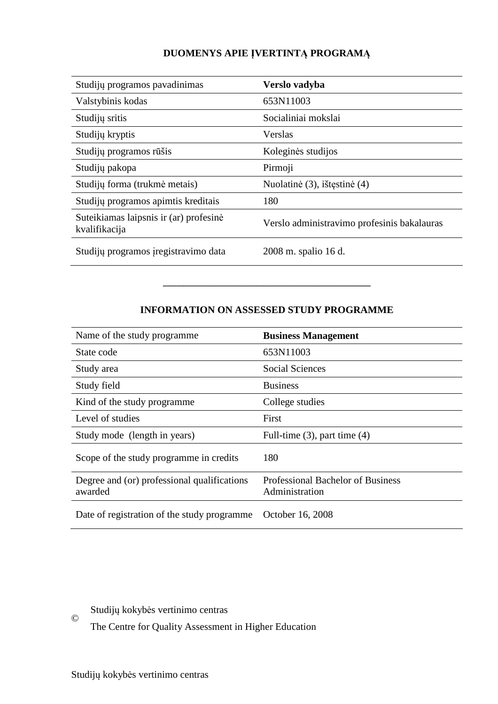#### **DUOMENYS APIE ĮVERTINTĄ PROGRAMĄ**

| Studijų programos pavadinimas                           | Verslo vadyba                               |
|---------------------------------------------------------|---------------------------------------------|
| Valstybinis kodas                                       | 653N11003                                   |
| Studijų sritis                                          | Socialiniai mokslai                         |
| Studijų kryptis                                         | Verslas                                     |
| Studijų programos rūšis                                 | Koleginės studijos                          |
| Studijų pakopa                                          | Pirmoji                                     |
| Studijų forma (trukmė metais)                           | Nuolatinė (3), ištęstinė (4)                |
| Studijų programos apimtis kreditais                     | 180                                         |
| Suteikiamas laipsnis ir (ar) profesinė<br>kvalifikacija | Verslo administravimo profesinis bakalauras |
| Studijų programos įregistravimo data                    | 2008 m. spalio 16 d.                        |

#### **INFORMATION ON ASSESSED STUDY PROGRAMME**

–––––––––––––––––––––––––––––––

| Name of the study programme                            | <b>Business Management</b>                                 |
|--------------------------------------------------------|------------------------------------------------------------|
| State code                                             | 653N11003                                                  |
| Study area                                             | Social Sciences                                            |
| Study field                                            | <b>Business</b>                                            |
| Kind of the study programme                            | College studies                                            |
| Level of studies                                       | First                                                      |
| Study mode (length in years)                           | Full-time $(3)$ , part time $(4)$                          |
| Scope of the study programme in credits                | 180                                                        |
| Degree and (or) professional qualifications<br>awarded | <b>Professional Bachelor of Business</b><br>Administration |
| Date of registration of the study programme            | October 16, 2008                                           |

Studijų kokybės vertinimo centras

The Centre for Quality Assessment in Higher Education

©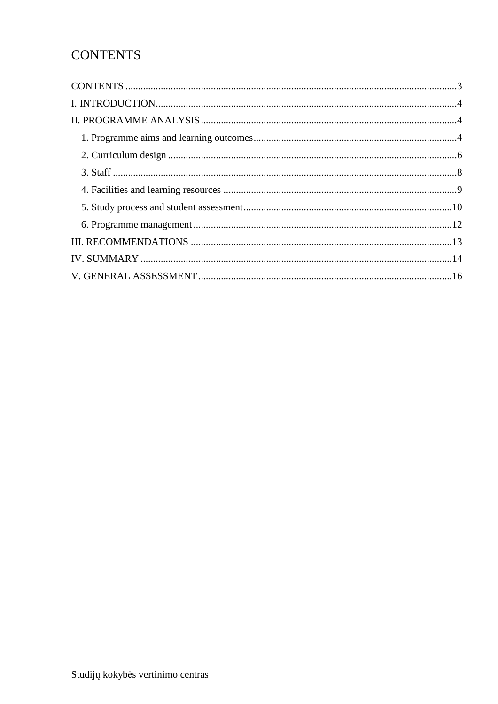## **CONTENTS**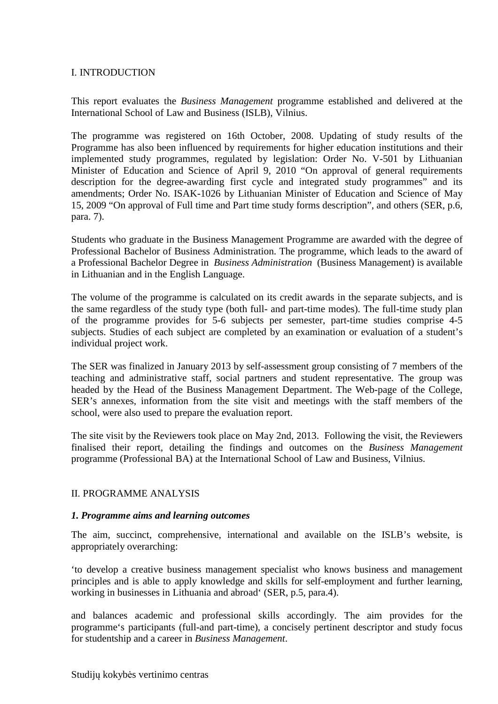#### I. INTRODUCTION

This report evaluates the *Business Management* programme established and delivered at the International School of Law and Business (ISLB), Vilnius.

The programme was registered on 16th October, 2008. Updating of study results of the Programme has also been influenced by requirements for higher education institutions and their implemented study programmes, regulated by legislation: Order No. V-501 by Lithuanian Minister of Education and Science of April 9, 2010 "On approval of general requirements description for the degree-awarding first cycle and integrated study programmes" and its amendments; Order No. ISAK-1026 by Lithuanian Minister of Education and Science of May 15, 2009 "On approval of Full time and Part time study forms description", and others (SER, p.6, para. 7).

Students who graduate in the Business Management Programme are awarded with the degree of Professional Bachelor of Business Administration. The programme, which leads to the award of a Professional Bachelor Degree in *Business Administration* (Business Management) is available in Lithuanian and in the English Language.

The volume of the programme is calculated on its credit awards in the separate subjects, and is the same regardless of the study type (both full- and part-time modes). The full-time study plan of the programme provides for 5-6 subjects per semester, part-time studies comprise 4-5 subjects. Studies of each subject are completed by an examination or evaluation of a student's individual project work.

The SER was finalized in January 2013 by self-assessment group consisting of 7 members of the teaching and administrative staff, social partners and student representative. The group was headed by the Head of the Business Management Department. The Web-page of the College, SER's annexes, information from the site visit and meetings with the staff members of the school, were also used to prepare the evaluation report.

The site visit by the Reviewers took place on May 2nd, 2013. Following the visit, the Reviewers finalised their report, detailing the findings and outcomes on the *Business Management* programme (Professional BA) at the International School of Law and Business, Vilnius.

#### II. PROGRAMME ANALYSIS

#### *1. Programme aims and learning outcomes*

The aim, succinct, comprehensive, international and available on the ISLB's website, is appropriately overarching:

'to develop a creative business management specialist who knows business and management principles and is able to apply knowledge and skills for self-employment and further learning, working in businesses in Lithuania and abroad' (SER, p.5, para.4).

and balances academic and professional skills accordingly. The aim provides for the programme's participants (full-and part-time), a concisely pertinent descriptor and study focus for studentship and a career in *Business Management*.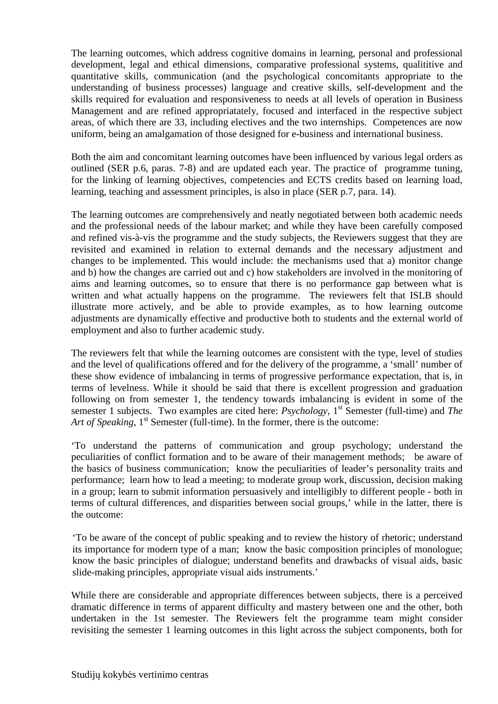The learning outcomes, which address cognitive domains in learning, personal and professional development, legal and ethical dimensions, comparative professional systems, qualititive and quantitative skills, communication (and the psychological concomitants appropriate to the understanding of business processes) language and creative skills, self-development and the skills required for evaluation and responsiveness to needs at all levels of operation in Business Management and are refined appropriatately, focused and interfaced in the respective subject areas, of which there are 33, including electives and the two internships. Competences are now uniform, being an amalgamation of those designed for e-business and international business.

Both the aim and concomitant learning outcomes have been influenced by various legal orders as outlined (SER p.6, paras. 7-8) and are updated each year. The practice of programme tuning, for the linking of learning objectives, competencies and ECTS credits based on learning load, learning, teaching and assessment principles, is also in place (SER p.7, para. 14).

The learning outcomes are comprehensively and neatly negotiated between both academic needs and the professional needs of the labour market; and while they have been carefully composed and refined vis-à-vis the programme and the study subjects, the Reviewers suggest that they are revisited and examined in relation to external demands and the necessary adjustment and changes to be implemented. This would include: the mechanisms used that a) monitor change and b) how the changes are carried out and c) how stakeholders are involved in the monitoring of aims and learning outcomes, so to ensure that there is no performance gap between what is written and what actually happens on the programme. The reviewers felt that ISLB should illustrate more actively, and be able to provide examples, as to how learning outcome adjustments are dynamically effective and productive both to students and the external world of employment and also to further academic study.

The reviewers felt that while the learning outcomes are consistent with the type, level of studies and the level of qualifications offered and for the delivery of the programme, a 'small' number of these show evidence of imbalancing in terms of progressive performance expectation, that is, in terms of levelness. While it should be said that there is excellent progression and graduation following on from semester 1, the tendency towards imbalancing is evident in some of the semester 1 subjects. Two examples are cited here: *Psychology*, 1<sup>st</sup> Semester (full-time) and *The* Art of Speaking, 1<sup>st</sup> Semester (full-time). In the former, there is the outcome:

'To understand the patterns of communication and group psychology; understand the peculiarities of conflict formation and to be aware of their management methods; be aware of the basics of business communication; know the peculiarities of leader's personality traits and performance; learn how to lead a meeting; to moderate group work, discussion, decision making in a group; learn to submit information persuasively and intelligibly to different people - both in terms of cultural differences, and disparities between social groups,' while in the latter, there is the outcome:

'To be aware of the concept of public speaking and to review the history of rhetoric; understand its importance for modern type of a man; know the basic composition principles of monologue; know the basic principles of dialogue; understand benefits and drawbacks of visual aids, basic slide-making principles, appropriate visual aids instruments.'

While there are considerable and appropriate differences between subjects, there is a perceived dramatic difference in terms of apparent difficulty and mastery between one and the other, both undertaken in the 1st semester. The Reviewers felt the programme team might consider revisiting the semester 1 learning outcomes in this light across the subject components, both for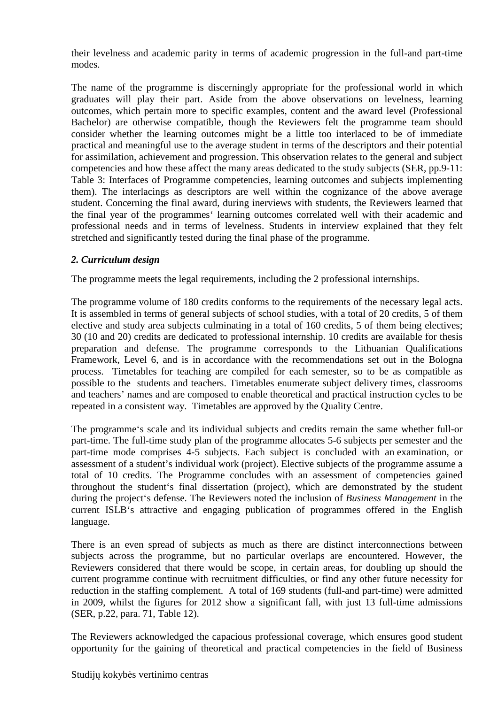their levelness and academic parity in terms of academic progression in the full-and part-time modes.

The name of the programme is discerningly appropriate for the professional world in which graduates will play their part. Aside from the above observations on levelness, learning outcomes, which pertain more to specific examples, content and the award level (Professional Bachelor) are otherwise compatible, though the Reviewers felt the programme team should consider whether the learning outcomes might be a little too interlaced to be of immediate practical and meaningful use to the average student in terms of the descriptors and their potential for assimilation, achievement and progression. This observation relates to the general and subject competencies and how these affect the many areas dedicated to the study subjects (SER, pp.9-11: Table 3: Interfaces of Programme competencies, learning outcomes and subjects implementing them). The interlacings as descriptors are well within the cognizance of the above average student. Concerning the final award, during inerviews with students, the Reviewers learned that the final year of the programmes' learning outcomes correlated well with their academic and professional needs and in terms of levelness. Students in interview explained that they felt stretched and significantly tested during the final phase of the programme.

#### *2. Curriculum design*

The programme meets the legal requirements, including the 2 professional internships.

The programme volume of 180 credits conforms to the requirements of the necessary legal acts. It is assembled in terms of general subjects of school studies, with a total of 20 credits, 5 of them elective and study area subjects culminating in a total of 160 credits, 5 of them being electives; 30 (10 and 20) credits are dedicated to professional internship. 10 credits are available for thesis preparation and defense. The programme corresponds to the Lithuanian Qualifications Framework, Level 6, and is in accordance with the recommendations set out in the Bologna process. Timetables for teaching are compiled for each semester, so to be as compatible as possible to the students and teachers. Timetables enumerate subject delivery times, classrooms and teachers' names and are composed to enable theoretical and practical instruction cycles to be repeated in a consistent way. Timetables are approved by the Quality Centre.

The programme's scale and its individual subjects and credits remain the same whether full-or part-time. The full-time study plan of the programme allocates 5-6 subjects per semester and the part-time mode comprises 4-5 subjects. Each subject is concluded with an examination, or assessment of a student's individual work (project). Elective subjects of the programme assume a total of 10 credits. The Programme concludes with an assessment of competencies gained throughout the student's final dissertation (project), which are demonstrated by the student during the project's defense. The Reviewers noted the inclusion of *Business Management* in the current ISLB's attractive and engaging publication of programmes offered in the English language.

There is an even spread of subjects as much as there are distinct interconnections between subjects across the programme, but no particular overlaps are encountered. However, the Reviewers considered that there would be scope, in certain areas, for doubling up should the current programme continue with recruitment difficulties, or find any other future necessity for reduction in the staffing complement. A total of 169 students (full-and part-time) were admitted in 2009, whilst the figures for 2012 show a significant fall, with just 13 full-time admissions (SER, p.22, para. 71, Table 12).

The Reviewers acknowledged the capacious professional coverage, which ensures good student opportunity for the gaining of theoretical and practical competencies in the field of Business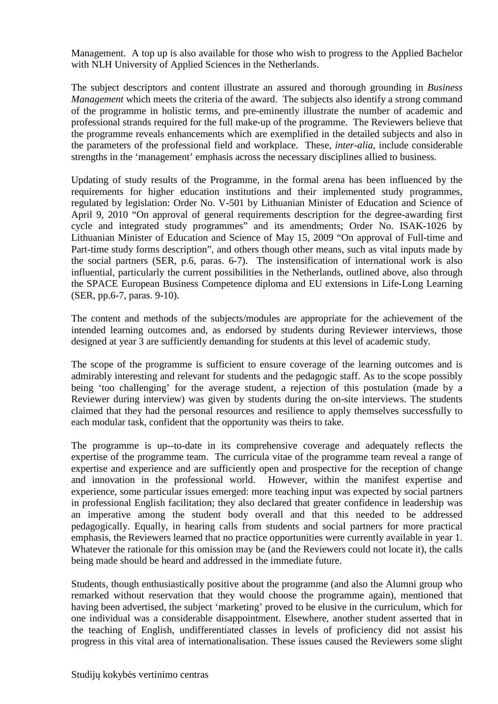Management. A top up is also available for those who wish to progress to the Applied Bachelor with NLH University of Applied Sciences in the Netherlands.

The subject descriptors and content illustrate an assured and thorough grounding in *Business Management* which meets the criteria of the award. The subjects also identify a strong command of the programme in holistic terms, and pre-eminently illustrate the number of academic and professional strands required for the full make-up of the programme. The Reviewers believe that the programme reveals enhancements which are exemplified in the detailed subjects and also in the parameters of the professional field and workplace. These, *inter-alia,* include considerable strengths in the 'management' emphasis across the necessary disciplines allied to business.

Updating of study results of the Programme, in the formal arena has been influenced by the requirements for higher education institutions and their implemented study programmes, regulated by legislation: Order No. V-501 by Lithuanian Minister of Education and Science of April 9, 2010 "On approval of general requirements description for the degree-awarding first cycle and integrated study programmes" and its amendments; Order No. ISAK-1026 by Lithuanian Minister of Education and Science of May 15, 2009 "On approval of Full-time and Part-time study forms description", and others though other means, such as vital inputs made by the social partners (SER, p.6, paras. 6-7). The instensification of international work is also influential, particularly the current possibilities in the Netherlands, outlined above, also through the SPACE European Business Competence diploma and EU extensions in Life-Long Learning (SER, pp.6-7, paras. 9-10).

The content and methods of the subjects/modules are appropriate for the achievement of the intended learning outcomes and, as endorsed by students during Reviewer interviews, those designed at year 3 are sufficiently demanding for students at this level of academic study.

The scope of the programme is sufficient to ensure coverage of the learning outcomes and is admirably interesting and relevant for students and the pedagogic staff. As to the scope possibly being 'too challenging' for the average student, a rejection of this postulation (made by a Reviewer during interview) was given by students during the on-site interviews. The students claimed that they had the personal resources and resilience to apply themselves successfully to each modular task, confident that the opportunity was theirs to take.

The programme is up--to-date in its comprehensive coverage and adequately reflects the expertise of the programme team. The curricula vitae of the programme team reveal a range of expertise and experience and are sufficiently open and prospective for the reception of change and innovation in the professional world. However, within the manifest expertise and experience, some particular issues emerged: more teaching input was expected by social partners in professional English facilitation; they also declared that greater confidence in leadership was an imperative among the student body overall and that this needed to be addressed pedagogically. Equally, in hearing calls from students and social partners for more practical emphasis, the Reviewers learned that no practice opportunities were currently available in year 1. Whatever the rationale for this omission may be (and the Reviewers could not locate it), the calls being made should be heard and addressed in the immediate future.

Students, though enthusiastically positive about the programme (and also the Alumni group who remarked without reservation that they would choose the programme again), mentioned that having been advertised, the subject 'marketing' proved to be elusive in the curriculum, which for one individual was a considerable disappointment. Elsewhere, another student asserted that in the teaching of English, undifferentiated classes in levels of proficiency did not assist his progress in this vital area of internationalisation. These issues caused the Reviewers some slight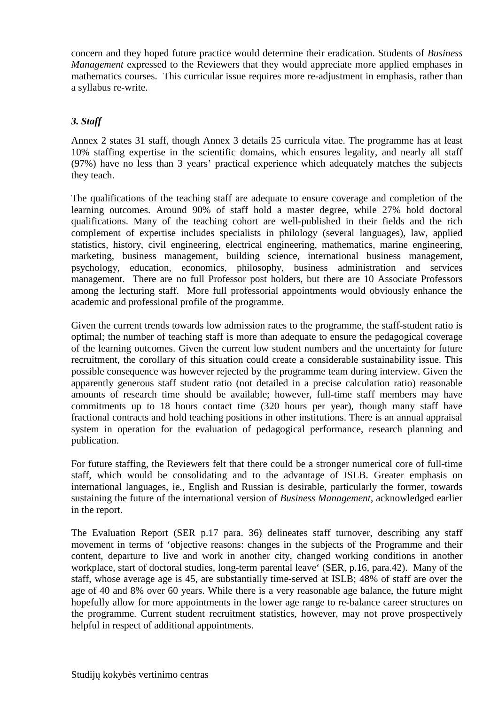concern and they hoped future practice would determine their eradication. Students of *Business Management* expressed to the Reviewers that they would appreciate more applied emphases in mathematics courses. This curricular issue requires more re-adjustment in emphasis, rather than a syllabus re-write.

#### *3. Staff*

Annex 2 states 31 staff, though Annex 3 details 25 curricula vitae. The programme has at least 10% staffing expertise in the scientific domains, which ensures legality, and nearly all staff (97%) have no less than 3 years' practical experience which adequately matches the subjects they teach.

The qualifications of the teaching staff are adequate to ensure coverage and completion of the learning outcomes. Around 90% of staff hold a master degree, while 27% hold doctoral qualifications. Many of the teaching cohort are well-published in their fields and the rich complement of expertise includes specialists in philology (several languages), law, applied statistics, history, civil engineering, electrical engineering, mathematics, marine engineering, marketing, business management, building science, international business management, psychology, education, economics, philosophy, business administration and services management. There are no full Professor post holders, but there are 10 Associate Professors among the lecturing staff. More full professorial appointments would obviously enhance the academic and professional profile of the programme.

Given the current trends towards low admission rates to the programme, the staff-student ratio is optimal; the number of teaching staff is more than adequate to ensure the pedagogical coverage of the learning outcomes. Given the current low student numbers and the uncertainty for future recruitment, the corollary of this situation could create a considerable sustainability issue. This possible consequence was however rejected by the programme team during interview. Given the apparently generous staff student ratio (not detailed in a precise calculation ratio) reasonable amounts of research time should be available; however, full-time staff members may have commitments up to 18 hours contact time (320 hours per year), though many staff have fractional contracts and hold teaching positions in other institutions. There is an annual appraisal system in operation for the evaluation of pedagogical performance, research planning and publication.

For future staffing, the Reviewers felt that there could be a stronger numerical core of full-time staff, which would be consolidating and to the advantage of ISLB. Greater emphasis on international languages, ie., English and Russian is desirable, particularly the former, towards sustaining the future of the international version of *Business Management*, acknowledged earlier in the report.

The Evaluation Report (SER p.17 para. 36) delineates staff turnover, describing any staff movement in terms of 'objective reasons: changes in the subjects of the Programme and their content, departure to live and work in another city, changed working conditions in another workplace, start of doctoral studies, long-term parental leave' (SER, p.16, para.42). Many of the staff, whose average age is 45, are substantially time-served at ISLB; 48% of staff are over the age of 40 and 8% over 60 years. While there is a very reasonable age balance, the future might hopefully allow for more appointments in the lower age range to re-balance career structures on the programme. Current student recruitment statistics, however, may not prove prospectively helpful in respect of additional appointments.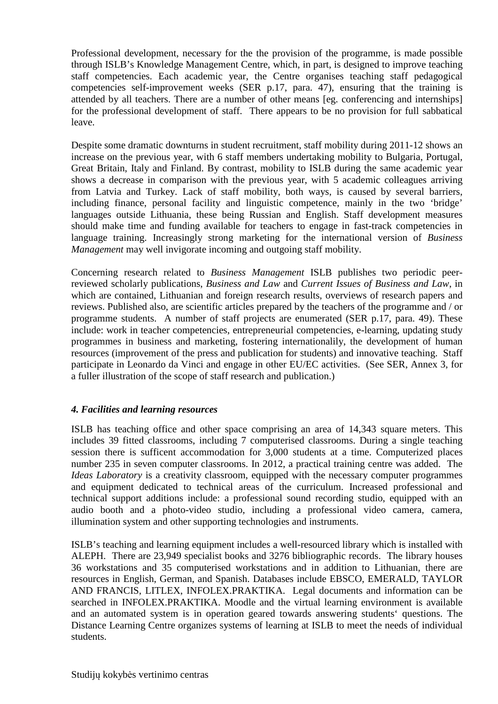Professional development, necessary for the the provision of the programme, is made possible through ISLB's Knowledge Management Centre, which, in part, is designed to improve teaching staff competencies. Each academic year, the Centre organises teaching staff pedagogical competencies self-improvement weeks (SER p.17, para. 47), ensuring that the training is attended by all teachers. There are a number of other means [eg. conferencing and internships] for the professional development of staff. There appears to be no provision for full sabbatical leave.

Despite some dramatic downturns in student recruitment, staff mobility during 2011-12 shows an increase on the previous year, with 6 staff members undertaking mobility to Bulgaria, Portugal, Great Britain, Italy and Finland. By contrast, mobility to ISLB during the same academic year shows a decrease in comparison with the previous year, with 5 academic colleagues arriving from Latvia and Turkey. Lack of staff mobility, both ways, is caused by several barriers, including finance, personal facility and linguistic competence, mainly in the two 'bridge' languages outside Lithuania, these being Russian and English. Staff development measures should make time and funding available for teachers to engage in fast-track competencies in language training. Increasingly strong marketing for the international version of *Business Management* may well invigorate incoming and outgoing staff mobility.

Concerning research related to *Business Management* ISLB publishes two periodic peerreviewed scholarly publications, *Business and Law* and *Current Issues of Business and Law*, in which are contained, Lithuanian and foreign research results, overviews of research papers and reviews. Published also, are scientific articles prepared by the teachers of the programme and / or programme students. A number of staff projects are enumerated (SER p.17, para. 49). These include: work in teacher competencies, entrepreneurial competencies, e-learning, updating study programmes in business and marketing, fostering internationalily, the development of human resources (improvement of the press and publication for students) and innovative teaching. Staff participate in Leonardo da Vinci and engage in other EU/EC activities. (See SER, Annex 3, for a fuller illustration of the scope of staff research and publication.)

#### *4. Facilities and learning resources*

ISLB has teaching office and other space comprising an area of 14,343 square meters. This includes 39 fitted classrooms, including 7 computerised classrooms. During a single teaching session there is sufficent accommodation for 3,000 students at a time. Computerized places number 235 in seven computer classrooms. In 2012, a practical training centre was added. The *Ideas Laboratory* is a creativity classroom, equipped with the necessary computer programmes and equipment dedicated to technical areas of the curriculum. Increased professional and technical support additions include: a professional sound recording studio, equipped with an audio booth and a photo-video studio, including a professional video camera, camera, illumination system and other supporting technologies and instruments.

ISLB's teaching and learning equipment includes a well-resourced library which is installed with ALEPH. There are 23,949 specialist books and 3276 bibliographic records. The library houses 36 workstations and 35 computerised workstations and in addition to Lithuanian, there are resources in English, German, and Spanish. Databases include EBSCO, EMERALD, TAYLOR AND FRANCIS, LITLEX, INFOLEX.PRAKTIKA. Legal documents and information can be searched in INFOLEX.PRAKTIKA. Moodle and the virtual learning environment is available and an automated system is in operation geared towards answering students' questions. The Distance Learning Centre organizes systems of learning at ISLB to meet the needs of individual students.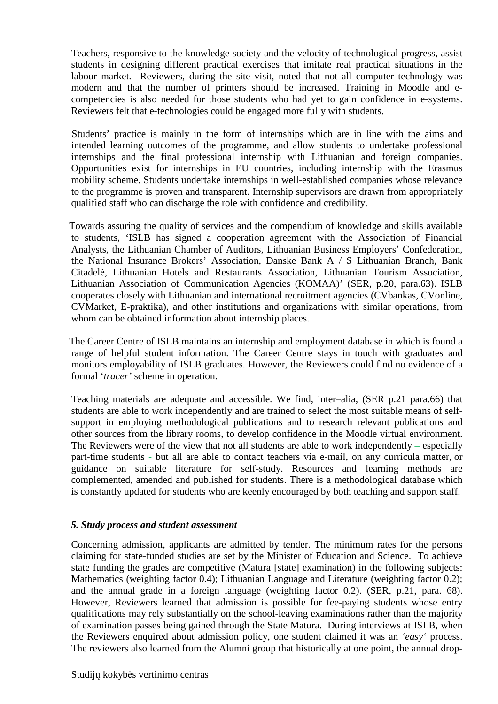Teachers, responsive to the knowledge society and the velocity of technological progress, assist students in designing different practical exercises that imitate real practical situations in the labour market. Reviewers, during the site visit, noted that not all computer technology was modern and that the number of printers should be increased. Training in Moodle and ecompetencies is also needed for those students who had yet to gain confidence in e-systems. Reviewers felt that e-technologies could be engaged more fully with students.

 Students' practice is mainly in the form of internships which are in line with the aims and intended learning outcomes of the programme, and allow students to undertake professional internships and the final professional internship with Lithuanian and foreign companies. Opportunities exist for internships in EU countries, including internship with the Erasmus mobility scheme. Students undertake internships in well-established companies whose relevance to the programme is proven and transparent. Internship supervisors are drawn from appropriately qualified staff who can discharge the role with confidence and credibility.

Towards assuring the quality of services and the compendium of knowledge and skills available to students, 'ISLB has signed a cooperation agreement with the Association of Financial Analysts, the Lithuanian Chamber of Auditors, Lithuanian Business Employers' Confederation, the National Insurance Brokers' Association, Danske Bank A / S Lithuanian Branch, Bank Citadelė, Lithuanian Hotels and Restaurants Association, Lithuanian Tourism Association, Lithuanian Association of Communication Agencies (KOMAA)' (SER, p.20, para.63). ISLB cooperates closely with Lithuanian and international recruitment agencies (CVbankas, CVonline, CVMarket, E-praktika), and other institutions and organizations with similar operations, from whom can be obtained information about internship places.

The Career Centre of ISLB maintains an internship and employment database in which is found a range of helpful student information. The Career Centre stays in touch with graduates and monitors employability of ISLB graduates. However, the Reviewers could find no evidence of a formal '*tracer'* scheme in operation.

Teaching materials are adequate and accessible. We find, inter–alia, (SER p.21 para.66) that students are able to work independently and are trained to select the most suitable means of selfsupport in employing methodological publications and to research relevant publications and other sources from the library rooms, to develop confidence in the Moodle virtual environment. The Reviewers were of the view that not all students are able to work independently **–** especially part-time students **-** but all are able to contact teachers via e-mail, on any curricula matter, or guidance on suitable literature for self-study. Resources and learning methods are complemented, amended and published for students. There is a methodological database which is constantly updated for students who are keenly encouraged by both teaching and support staff.

#### *5. Study process and student assessment*

Concerning admission, applicants are admitted by tender. The minimum rates for the persons claiming for state-funded studies are set by the Minister of Education and Science. To achieve state funding the grades are competitive (Matura [state] examination) in the following subjects: Mathematics (weighting factor 0.4); Lithuanian Language and Literature (weighting factor 0.2); and the annual grade in a foreign language (weighting factor 0.2). (SER, p.21, para. 68). However, Reviewers learned that admission is possible for fee-paying students whose entry qualifications may rely substantially on the school-leaving examinations rather than the majority of examination passes being gained through the State Matura. During interviews at ISLB, when the Reviewers enquired about admission policy, one student claimed it was an *'easy'* process. The reviewers also learned from the Alumni group that historically at one point, the annual drop-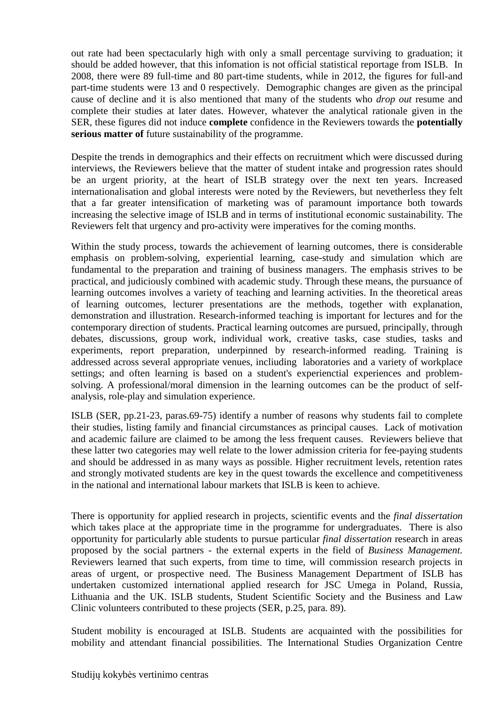out rate had been spectacularly high with only a small percentage surviving to graduation; it should be added however, that this infomation is not official statistical reportage from ISLB. In 2008, there were 89 full-time and 80 part-time students, while in 2012, the figures for full-and part-time students were 13 and 0 respectively. Demographic changes are given as the principal cause of decline and it is also mentioned that many of the students who *drop out* resume and complete their studies at later dates. However, whatever the analytical rationale given in the SER, these figures did not induce **complete** confidence in the Reviewers towards the **potentially serious matter of** future sustainability of the programme.

Despite the trends in demographics and their effects on recruitment which were discussed during interviews, the Reviewers believe that the matter of student intake and progression rates should be an urgent priority, at the heart of ISLB strategy over the next ten years. Increased internationalisation and global interests were noted by the Reviewers, but nevetherless they felt that a far greater intensification of marketing was of paramount importance both towards increasing the selective image of ISLB and in terms of institutional economic sustainability*.* The Reviewers felt that urgency and pro-activity were imperatives for the coming months.

Within the study process, towards the achievement of learning outcomes, there is considerable emphasis on problem-solving, experiential learning, case-study and simulation which are fundamental to the preparation and training of business managers. The emphasis strives to be practical, and judiciously combined with academic study. Through these means, the pursuance of learning outcomes involves a variety of teaching and learning activities. In the theoretical areas of learning outcomes, lecturer presentations are the methods, together with explanation, demonstration and illustration. Research-informed teaching is important for lectures and for the contemporary direction of students. Practical learning outcomes are pursued, principally, through debates, discussions, group work, individual work, creative tasks, case studies, tasks and experiments, report preparation, underpinned by research-informed reading. Training is addressed across several appropriate venues, incliuding laboratories and a variety of workplace settings; and often learning is based on a student's experienctial experiences and problemsolving. A professional/moral dimension in the learning outcomes can be the product of selfanalysis, role-play and simulation experience.

ISLB (SER, pp.21-23, paras.69-75) identify a number of reasons why students fail to complete their studies, listing family and financial circumstances as principal causes. Lack of motivation and academic failure are claimed to be among the less frequent causes. Reviewers believe that these latter two categories may well relate to the lower admission criteria for fee-paying students and should be addressed in as many ways as possible. Higher recruitment levels, retention rates and strongly motivated students are key in the quest towards the excellence and competitiveness in the national and international labour markets that ISLB is keen to achieve.

There is opportunity for applied research in projects, scientific events and the *final dissertation* which takes place at the appropriate time in the programme for undergraduates. There is also opportunity for particularly able students to pursue particular *final dissertation* research in areas proposed by the social partners - the external experts in the field of *Business Management.* Reviewers learned that such experts, from time to time, will commission research projects in areas of urgent, or prospective need. The Business Management Department of ISLB has undertaken customized international applied research for JSC Umega in Poland, Russia, Lithuania and the UK. ISLB students, Student Scientific Society and the Business and Law Clinic volunteers contributed to these projects (SER, p.25, para. 89).

Student mobility is encouraged at ISLB. Students are acquainted with the possibilities for mobility and attendant financial possibilities. The International Studies Organization Centre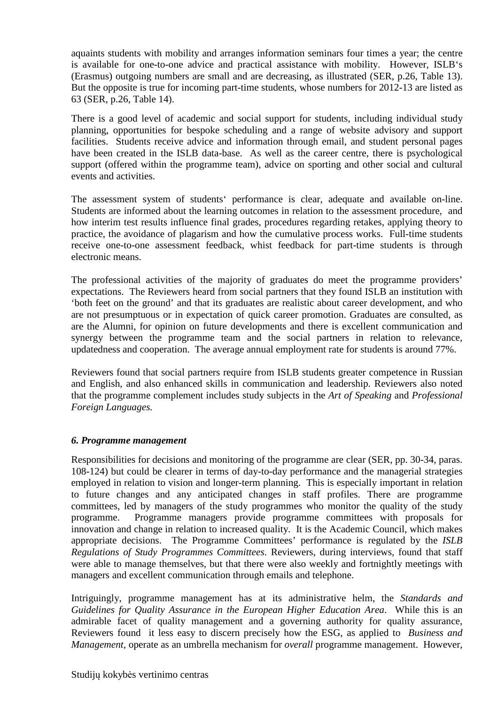aquaints students with mobility and arranges information seminars four times a year; the centre is available for one-to-one advice and practical assistance with mobility. However, ISLB's (Erasmus) outgoing numbers are small and are decreasing, as illustrated (SER, p.26, Table 13). But the opposite is true for incoming part-time students, whose numbers for 2012-13 are listed as 63 (SER, p.26, Table 14).

There is a good level of academic and social support for students, including individual study planning, opportunities for bespoke scheduling and a range of website advisory and support facilities. Students receive advice and information through email, and student personal pages have been created in the ISLB data-base. As well as the career centre, there is psychological support (offered within the programme team), advice on sporting and other social and cultural events and activities.

The assessment system of students' performance is clear, adequate and available on-line. Students are informed about the learning outcomes in relation to the assessment procedure, and how interim test results influence final grades, procedures regarding retakes, applying theory to practice, the avoidance of plagarism and how the cumulative process works. Full-time students receive one-to-one assessment feedback, whist feedback for part-time students is through electronic means.

The professional activities of the majority of graduates do meet the programme providers' expectations. The Reviewers heard from social partners that they found ISLB an institution with 'both feet on the ground' and that its graduates are realistic about career development, and who are not presumptuous or in expectation of quick career promotion. Graduates are consulted, as are the Alumni, for opinion on future developments and there is excellent communication and synergy between the programme team and the social partners in relation to relevance, updatedness and cooperation. The average annual employment rate for students is around 77%.

Reviewers found that social partners require from ISLB students greater competence in Russian and English, and also enhanced skills in communication and leadership. Reviewers also noted that the programme complement includes study subjects in the *Art of Speaking* and *Professional Foreign Languages.* 

#### *6. Programme management*

Responsibilities for decisions and monitoring of the programme are clear (SER, pp. 30-34, paras. 108-124) but could be clearer in terms of day-to-day performance and the managerial strategies employed in relation to vision and longer-term planning. This is especially important in relation to future changes and any anticipated changes in staff profiles. There are programme committees, led by managers of the study programmes who monitor the quality of the study programme. Programme managers provide programme committees with proposals for innovation and change in relation to increased quality. It is the Academic Council, which makes appropriate decisions. The Programme Committees' performance is regulated by the *ISLB Regulations of Study Programmes Committees*. Reviewers, during interviews, found that staff were able to manage themselves, but that there were also weekly and fortnightly meetings with managers and excellent communication through emails and telephone.

Intriguingly, programme management has at its administrative helm, the *Standards and Guidelines for Quality Assurance in the European Higher Education Area*. While this is an admirable facet of quality management and a governing authority for quality assurance, Reviewers found it less easy to discern precisely how the ESG, as applied to *Business and Management,* operate as an umbrella mechanism for *overall* programme management. However,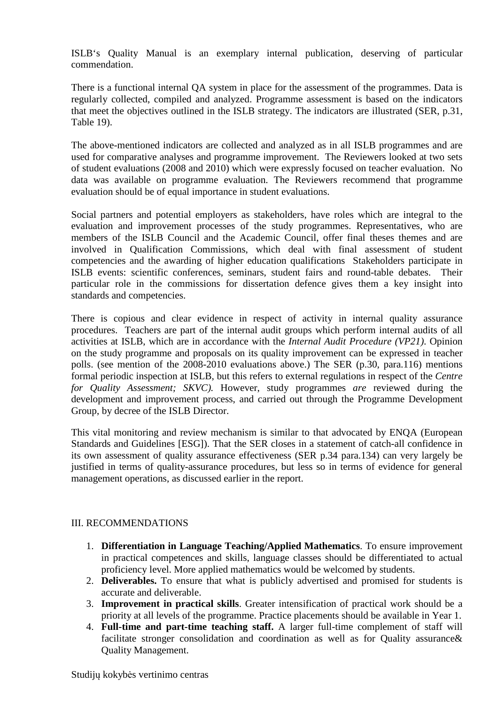ISLB's Quality Manual is an exemplary internal publication, deserving of particular commendation.

There is a functional internal QA system in place for the assessment of the programmes. Data is regularly collected, compiled and analyzed. Programme assessment is based on the indicators that meet the objectives outlined in the ISLB strategy. The indicators are illustrated (SER, p.31, Table 19).

The above-mentioned indicators are collected and analyzed as in all ISLB programmes and are used for comparative analyses and programme improvement. The Reviewers looked at two sets of student evaluations (2008 and 2010) which were expressly focused on teacher evaluation. No data was available on programme evaluation. The Reviewers recommend that programme evaluation should be of equal importance in student evaluations.

Social partners and potential employers as stakeholders, have roles which are integral to the evaluation and improvement processes of the study programmes. Representatives, who are members of the ISLB Council and the Academic Council, offer final theses themes and are involved in Qualification Commissions, which deal with final assessment of student competencies and the awarding of higher education qualifications Stakeholders participate in ISLB events: scientific conferences, seminars, student fairs and round-table debates. Their particular role in the commissions for dissertation defence gives them a key insight into standards and competencies.

There is copious and clear evidence in respect of activity in internal quality assurance procedures. Teachers are part of the internal audit groups which perform internal audits of all activities at ISLB, which are in accordance with the *Internal Audit Procedure (VP21)*. Opinion on the study programme and proposals on its quality improvement can be expressed in teacher polls. (see mention of the 2008-2010 evaluations above.) The SER (p.30, para.116) mentions formal periodic inspection at ISLB, but this refers to external regulations in respect of the *Centre for Quality Assessment; SKVC).* However, study programmes *are* reviewed during the development and improvement process, and carried out through the Programme Development Group, by decree of the ISLB Director.

This vital monitoring and review mechanism is similar to that advocated by ENQA (European Standards and Guidelines [ESG]). That the SER closes in a statement of catch-all confidence in its own assessment of quality assurance effectiveness (SER p.34 para.134) can very largely be justified in terms of quality-assurance procedures, but less so in terms of evidence for general management operations, as discussed earlier in the report.

#### III. RECOMMENDATIONS

- 1. **Differentiation in Language Teaching/Applied Mathematics**. To ensure improvement in practical competences and skills, language classes should be differentiated to actual proficiency level. More applied mathematics would be welcomed by students.
- 2. **Deliverables.** To ensure that what is publicly advertised and promised for students is accurate and deliverable.
- 3. **Improvement in practical skills**. Greater intensification of practical work should be a priority at all levels of the programme. Practice placements should be available in Year 1.
- 4. **Full-time and part-time teaching staff.** A larger full-time complement of staff will facilitate stronger consolidation and coordination as well as for Quality assurance& Quality Management.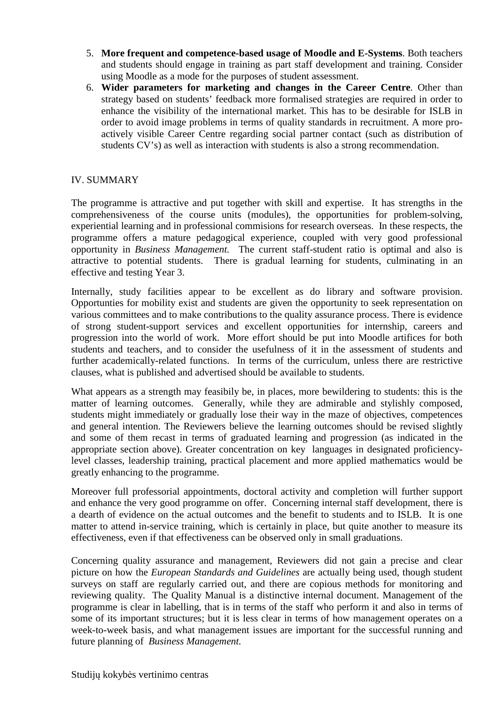- 5. **More frequent and competence-based usage of Moodle and E-Systems**. Both teachers and students should engage in training as part staff development and training. Consider using Moodle as a mode for the purposes of student assessment.
- 6. **Wider parameters for marketing and changes in the Career Centre**. Other than strategy based on students' feedback more formalised strategies are required in order to enhance the visibility of the international market. This has to be desirable for ISLB in order to avoid image problems in terms of quality standards in recruitment. A more proactively visible Career Centre regarding social partner contact (such as distribution of students CV's) as well as interaction with students is also a strong recommendation.

#### IV. SUMMARY

 The programme is attractive and put together with skill and expertise. It has strengths in the comprehensiveness of the course units (modules), the opportunities for problem-solving, experiential learning and in professional commisions for research overseas. In these respects, the programme offers a mature pedagogical experience, coupled with very good professional opportunity in *Business Management.* The current staff-student ratio is optimal and also is attractive to potential students. There is gradual learning for students, culminating in an effective and testing Year 3.

Internally, study facilities appear to be excellent as do library and software provision. Opportunties for mobility exist and students are given the opportunity to seek representation on various committees and to make contributions to the quality assurance process. There is evidence of strong student-support services and excellent opportunities for internship, careers and progression into the world of work. More effort should be put into Moodle artifices for both students and teachers, and to consider the usefulness of it in the assessment of students and further academically-related functions. In terms of the curriculum, unless there are restrictive clauses, what is published and advertised should be available to students.

 What appears as a strength may feasibily be, in places, more bewildering to students: this is the matter of learning outcomes. Generally, while they are admirable and stylishly composed, students might immediately or gradually lose their way in the maze of objectives, competences and general intention. The Reviewers believe the learning outcomes should be revised slightly and some of them recast in terms of graduated learning and progression (as indicated in the appropriate section above). Greater concentration on key languages in designated proficiencylevel classes, leadership training, practical placement and more applied mathematics would be greatly enhancing to the programme.

 Moreover full professorial appointments, doctoral activity and completion will further support and enhance the very good programme on offer. Concerning internal staff development, there is a dearth of evidence on the actual outcomes and the benefit to students and to ISLB. It is one matter to attend in-service training, which is certainly in place, but quite another to measure its effectiveness, even if that effectiveness can be observed only in small graduations.

 Concerning quality assurance and management, Reviewers did not gain a precise and clear picture on how the *European Standards and Guidelines* are actually being used, though student surveys on staff are regularly carried out, and there are copious methods for monitoring and reviewing quality. The Quality Manual is a distinctive internal document. Management of the programme is clear in labelling, that is in terms of the staff who perform it and also in terms of some of its important structures; but it is less clear in terms of how management operates on a week-to-week basis, and what management issues are important for the successful running and future planning of *Business Management.*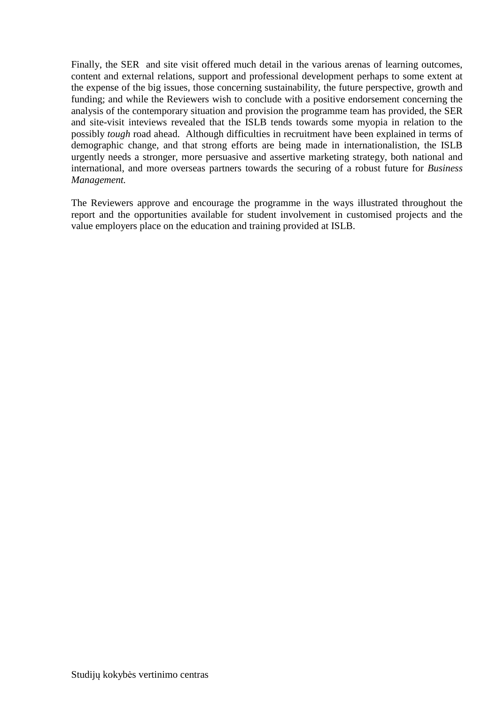Finally, the SER and site visit offered much detail in the various arenas of learning outcomes, content and external relations, support and professional development perhaps to some extent at the expense of the big issues, those concerning sustainability, the future perspective, growth and funding; and while the Reviewers wish to conclude with a positive endorsement concerning the analysis of the contemporary situation and provision the programme team has provided, the SER and site-visit inteviews revealed that the ISLB tends towards some myopia in relation to the possibly *tough* road ahead. Although difficulties in recruitment have been explained in terms of demographic change, and that strong efforts are being made in internationalistion, the ISLB urgently needs a stronger, more persuasive and assertive marketing strategy, both national and international, and more overseas partners towards the securing of a robust future for *Business Management.* 

The Reviewers approve and encourage the programme in the ways illustrated throughout the report and the opportunities available for student involvement in customised projects and the value employers place on the education and training provided at ISLB.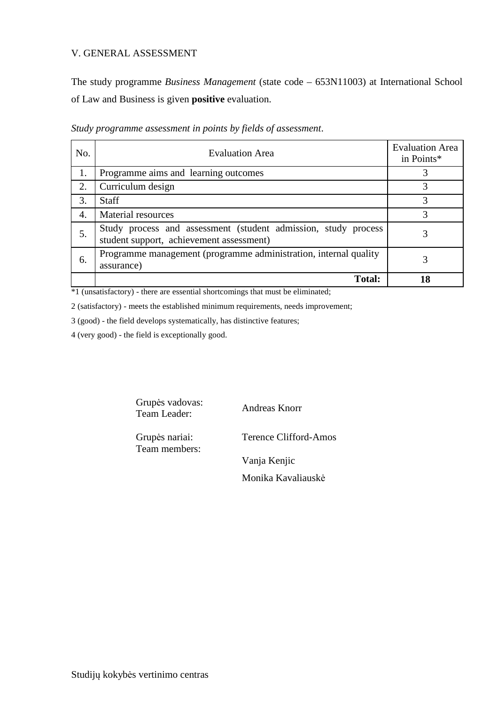#### V. GENERAL ASSESSMENT

The study programme *Business Management* (state code – 653N11003) at International School of Law and Business is given **positive** evaluation.

| No. | <b>Evaluation Area</b>                                                                                     | <b>Evaluation Area</b><br>in Points* |
|-----|------------------------------------------------------------------------------------------------------------|--------------------------------------|
| 1.  | Programme aims and learning outcomes                                                                       |                                      |
| 2.  | Curriculum design                                                                                          |                                      |
| 3.  | Staff                                                                                                      |                                      |
| 4.  | Material resources                                                                                         | 3                                    |
| 5.  | Study process and assessment (student admission, study process<br>student support, achievement assessment) |                                      |
| 6.  | Programme management (programme administration, internal quality<br>assurance)                             |                                      |
|     | <b>Total:</b>                                                                                              | 18                                   |

*Study programme assessment in points by fields of assessment*.

\*1 (unsatisfactory) - there are essential shortcomings that must be eliminated;

2 (satisfactory) - meets the established minimum requirements, needs improvement;

3 (good) - the field develops systematically, has distinctive features;

4 (very good) - the field is exceptionally good.

Grupės vadovas: Team Leader: Andreas Knorr

Grupės nariai: Team members: Terence Clifford-Amos

Vanja Kenjic

Monika Kavaliauskė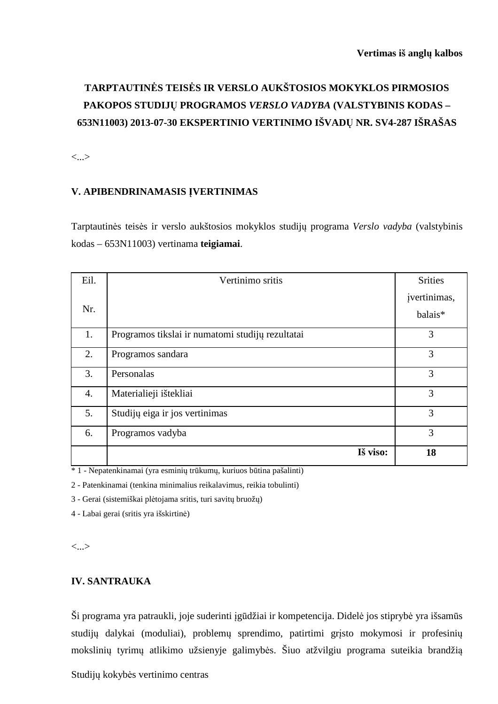### **TARPTAUTINĖS TEISĖS IR VERSLO AUKŠTOSIOS MOKYKLOS PIRMOSIOS PAKOPOS STUDIJŲ PROGRAMOS** *VERSLO VADYBA* **(VALSTYBINIS KODAS – 653N11003) 2013-07-30 EKSPERTINIO VERTINIMO IŠVADŲ NR. SV4-287 IŠRAŠAS**

<...>

#### **V. APIBENDRINAMASIS ĮVERTINIMAS**

Tarptautinės teisės ir verslo aukštosios mokyklos studijų programa *Verslo vadyba* (valstybinis kodas – 653N11003) vertinama **teigiamai**.

| Eil. | Vertinimo sritis                                 | <b>Srities</b>          |
|------|--------------------------------------------------|-------------------------|
| Nr.  |                                                  | įvertinimas,<br>balais* |
| 1.   | Programos tikslai ir numatomi studijų rezultatai | 3                       |
| 2.   | Programos sandara                                | 3                       |
| 3.   | Personalas                                       | 3                       |
| 4.   | Materialieji ištekliai                           | 3                       |
| 5.   | Studijų eiga ir jos vertinimas                   | 3                       |
| 6.   | Programos vadyba                                 | 3                       |
|      | Iš viso:                                         | 18                      |

\* 1 - Nepatenkinamai (yra esminių trūkumų, kuriuos būtina pašalinti)

2 - Patenkinamai (tenkina minimalius reikalavimus, reikia tobulinti)

3 - Gerai (sistemiškai plėtojama sritis, turi savitų bruožų)

4 - Labai gerai (sritis yra išskirtinė)

<...>

#### **IV. SANTRAUKA**

Ši programa yra patraukli, joje suderinti įgūdžiai ir kompetencija. Didelė jos stiprybė yra išsamūs studijų dalykai (moduliai), problemų sprendimo, patirtimi grįsto mokymosi ir profesinių mokslinių tyrimų atlikimo užsienyje galimybės. Šiuo atžvilgiu programa suteikia brandžią

Studijų kokybės vertinimo centras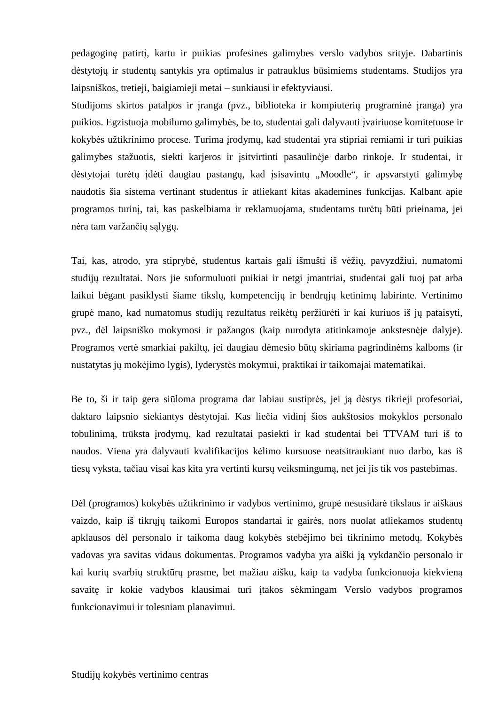pedagoginę patirtį, kartu ir puikias profesines galimybes verslo vadybos srityje. Dabartinis dėstytojų ir studentų santykis yra optimalus ir patrauklus būsimiems studentams. Studijos yra laipsniškos, tretieji, baigiamieji metai – sunkiausi ir efektyviausi.

Studijoms skirtos patalpos ir įranga (pvz., biblioteka ir kompiuterių programinė įranga) yra puikios. Egzistuoja mobilumo galimybės, be to, studentai gali dalyvauti įvairiuose komitetuose ir kokybės užtikrinimo procese. Turima įrodymų, kad studentai yra stipriai remiami ir turi puikias galimybes stažuotis, siekti karjeros ir įsitvirtinti pasaulinėje darbo rinkoje. Ir studentai, ir dėstytojai turėtų įdėti daugiau pastangų, kad įsisavintų "Moodle", ir apsvarstyti galimybę naudotis šia sistema vertinant studentus ir atliekant kitas akademines funkcijas. Kalbant apie programos turinį, tai, kas paskelbiama ir reklamuojama, studentams turėtų būti prieinama, jei nėra tam varžančių sąlygų.

Tai, kas, atrodo, yra stiprybė, studentus kartais gali išmušti iš vėžių, pavyzdžiui, numatomi studijų rezultatai. Nors jie suformuluoti puikiai ir netgi įmantriai, studentai gali tuoj pat arba laikui bėgant pasiklysti šiame tikslų, kompetencijų ir bendrųjų ketinimų labirinte. Vertinimo grupė mano, kad numatomus studijų rezultatus reikėtų peržiūrėti ir kai kuriuos iš jų pataisyti, pvz., dėl laipsniško mokymosi ir pažangos (kaip nurodyta atitinkamoje ankstesnėje dalyje). Programos vertė smarkiai pakiltų, jei daugiau dėmesio būtų skiriama pagrindinėms kalboms (ir nustatytas jų mokėjimo lygis), lyderystės mokymui, praktikai ir taikomajai matematikai.

Be to, ši ir taip gera siūloma programa dar labiau sustiprės, jei ją dėstys tikrieji profesoriai, daktaro laipsnio siekiantys dėstytojai. Kas liečia vidinį šios aukštosios mokyklos personalo tobulinimą, trūksta įrodymų, kad rezultatai pasiekti ir kad studentai bei TTVAM turi iš to naudos. Viena yra dalyvauti kvalifikacijos kėlimo kursuose neatsitraukiant nuo darbo, kas iš tiesų vyksta, tačiau visai kas kita yra vertinti kursų veiksmingumą, net jei jis tik vos pastebimas.

Dėl (programos) kokybės užtikrinimo ir vadybos vertinimo, grupė nesusidarė tikslaus ir aiškaus vaizdo, kaip iš tikrųjų taikomi Europos standartai ir gairės, nors nuolat atliekamos studentų apklausos dėl personalo ir taikoma daug kokybės stebėjimo bei tikrinimo metodų. Kokybės vadovas yra savitas vidaus dokumentas. Programos vadyba yra aiški ją vykdančio personalo ir kai kurių svarbių struktūrų prasme, bet mažiau aišku, kaip ta vadyba funkcionuoja kiekvieną savaitę ir kokie vadybos klausimai turi įtakos sėkmingam Verslo vadybos programos funkcionavimui ir tolesniam planavimui.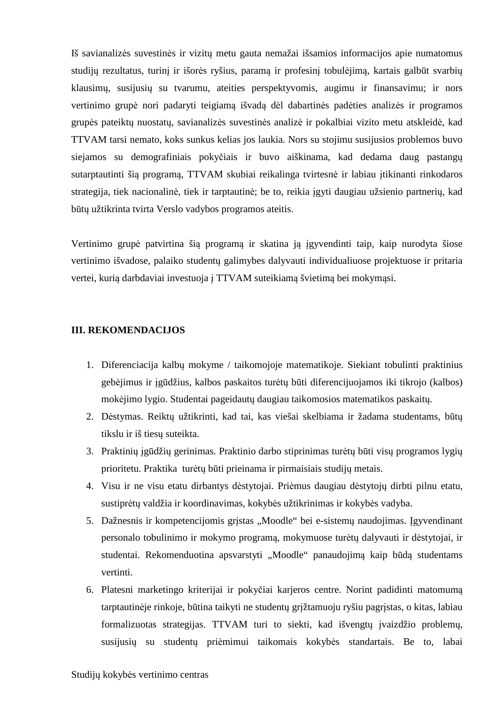Iš savianalizės suvestinės ir vizitų metu gauta nemažai išsamios informacijos apie numatomus studijų rezultatus, turinį ir išorės ryšius, paramą ir profesinį tobulėjimą, kartais galbūt svarbių klausimų, susijusių su tvarumu, ateities perspektyvomis, augimu ir finansavimu; ir nors vertinimo grupė nori padaryti teigiamą išvadą dėl dabartinės padėties analizės ir programos grupės pateiktų nuostatų, savianalizės suvestinės analizė ir pokalbiai vizito metu atskleidė, kad TTVAM tarsi nemato, koks sunkus kelias jos laukia. Nors su stojimu susijusios problemos buvo siejamos su demografiniais pokyčiais ir buvo aiškinama, kad dedama daug pastangų sutarptautinti šią programą, TTVAM skubiai reikalinga tvirtesnė ir labiau įtikinanti rinkodaros strategija, tiek nacionalinė, tiek ir tarptautinė; be to, reikia įgyti daugiau užsienio partnerių, kad būtų užtikrinta tvirta Verslo vadybos programos ateitis.

Vertinimo grupė patvirtina šią programą ir skatina ją įgyvendinti taip, kaip nurodyta šiose vertinimo išvadose, palaiko studentų galimybes dalyvauti individualiuose projektuose ir pritaria vertei, kurią darbdaviai investuoja į TTVAM suteikiamą švietimą bei mokymąsi.

#### **III. REKOMENDACIJOS**

- 1. Diferenciacija kalbų mokyme / taikomojoje matematikoje. Siekiant tobulinti praktinius gebėjimus ir įgūdžius, kalbos paskaitos turėtų būti diferencijuojamos iki tikrojo (kalbos) mokėjimo lygio. Studentai pageidautų daugiau taikomosios matematikos paskaitų.
- 2. Dėstymas. Reiktų užtikrinti, kad tai, kas viešai skelbiama ir žadama studentams, būtų tikslu ir iš tiesų suteikta.
- 3. Praktinių įgūdžių gerinimas. Praktinio darbo stiprinimas turėtų būti visų programos lygių prioritetu. Praktika turėtų būti prieinama ir pirmaisiais studijų metais.
- 4. Visu ir ne visu etatu dirbantys dėstytojai. Priėmus daugiau dėstytojų dirbti pilnu etatu, sustiprėtų valdžia ir koordinavimas, kokybės užtikrinimas ir kokybės vadyba.
- 5. Dažnesnis ir kompetencijomis grįstas "Moodle" bei e-sistemų naudojimas. Įgyvendinant personalo tobulinimo ir mokymo programą, mokymuose turėtų dalyvauti ir dėstytojai, ir studentai. Rekomenduotina apsvarstyti "Moodle" panaudojimą kaip būdą studentams vertinti.
- 6. Platesni marketingo kriterijai ir pokyčiai karjeros centre. Norint padidinti matomumą tarptautinėje rinkoje, būtina taikyti ne studentų grįžtamuoju ryšiu pagrįstas, o kitas, labiau formalizuotas strategijas. TTVAM turi to siekti, kad išvengtų įvaizdžio problemų, susijusių su studentų priėmimui taikomais kokybės standartais. Be to, labai